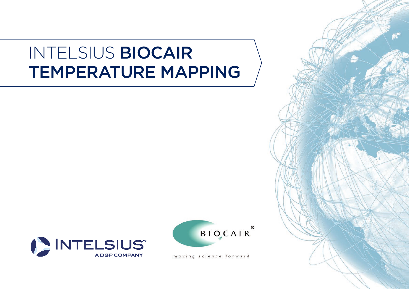### INTELSIUS BIOCAIR TEMPERATURE MAPPING





moving science forward

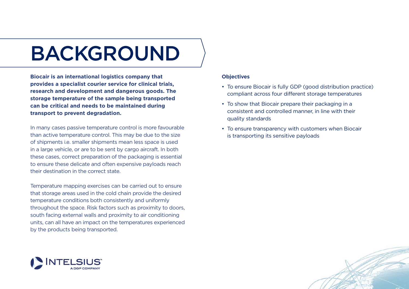# BACKGROUND

**Biocair is an international logistics company that provides a specialist courier service for clinical trials, research and development and dangerous goods. The storage temperature of the sample being transported can be critical and needs to be maintained during transport to prevent degradation.** 

In many cases passive temperature control is more favourable than active temperature control. This may be due to the size of shipments i.e. smaller shipments mean less space is used in a large vehicle, or are to be sent by cargo aircraft. In both these cases, correct preparation of the packaging is essential to ensure these delicate and often expensive payloads reach their destination in the correct state.

Temperature mapping exercises can be carried out to ensure that storage areas used in the cold chain provide the desired temperature conditions both consistently and uniformly throughout the space. Risk factors such as proximity to doors, south facing external walls and proximity to air conditioning units, can all have an impact on the temperatures experienced by the products being transported.



#### **Objectives**

- To ensure Biocair is fully GDP (good distribution practice) compliant across four different storage temperatures
- To show that Biocair prepare their packaging in a consistent and controlled manner, in line with their quality standards
- To ensure transparency with customers when Biocair is transporting its sensitive payloads

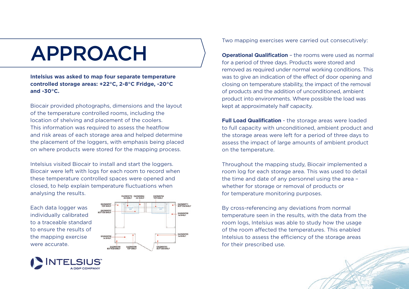# APPROACH

**Intelsius was asked to map four separate temperature controlled storage areas: +22°C, 2-8°C Fridge, -20°C and -30°C.**

Biocair provided photographs, dimensions and the layout of the temperature controlled rooms, including the location of shelving and placement of the coolers. This information was required to assess the heatflow and risk areas of each storage area and helped determine the placement of the loggers, with emphasis being placed on where products were stored for the mapping process.

Intelsius visited Biocair to install and start the loggers. Biocair were left with logs for each room to record when these temperature controlled spaces were opened and closed, to help explain temperature fluctuations when analysing the results.

Each data logger was individually calibrated to a traceable standard to ensure the results of the mapping exercise were accurate.



Two mapping exercises were carried out consecutively:

**Operational Qualification** – the rooms were used as normal for a period of three days. Products were stored and removed as required under normal working conditions. This was to give an indication of the effect of door opening and closing on temperature stability, the impact of the removal of products and the addition of unconditioned, ambient product into environments. Where possible the load was kept at approximately half capacity.

**Full Load Qualification** - the storage areas were loaded to full capacity with unconditioned, ambient product and the storage areas were left for a period of three days to assess the impact of large amounts of ambient product on the temperature.

Throughout the mapping study, Biocair implemented a room log for each storage area. This was used to detail the time and date of any personnel using the area – whether for storage or removal of products or for temperature monitoring purposes.

By cross-referencing any deviations from normal temperature seen in the results, with the data from the room logs, Intelsius was able to study how the usage of the room affected the temperatures. This enabled Intelsius to assess the efficiency of the storage areas for their prescribed use.

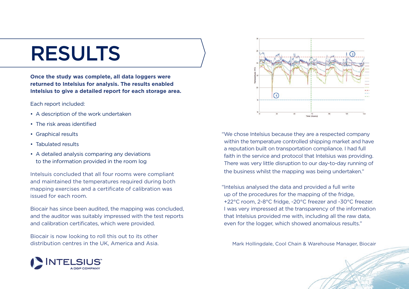### RESULTS

**Once the study was complete, all data loggers were returned to Intelsius for analysis. The results enabled Intelsius to give a detailed report for each storage area.** 

Each report included:

- A description of the work undertaken
- The risk areas identified
- Graphical results
- Tabulated results
- A detailed analysis comparing any deviations to the information provided in the room log

Intelsuis concluded that all four rooms were compliant and maintained the temperatures required during both mapping exercises and a certificate of calibration was issued for each room.

Biocair has since been audited, the mapping was concluded, and the auditor was suitably impressed with the test reports and calibration certificates, which were provided.

Biocair is now looking to roll this out to its other distribution centres in the UK, America and Asia.



"We chose Intelsius because they are a respected company within the temperature controlled shipping market and have a reputation built on transportation compliance. I had full faith in the service and protocol that Intelsius was providing. There was very little disruption to our day-to-day running of the business whilst the mapping was being undertaken."

"Intelsius analysed the data and provided a full write up of the procedures for the mapping of the fridge, +22°C room, 2-8°C fridge, -20°C freezer and -30°C freezer. I was very impressed at the transparency of the information that Intelsius provided me with, including all the raw data, even for the logger, which showed anomalous results."

Mark Hollingdale, Cool Chain & Warehouse Manager, Biocair